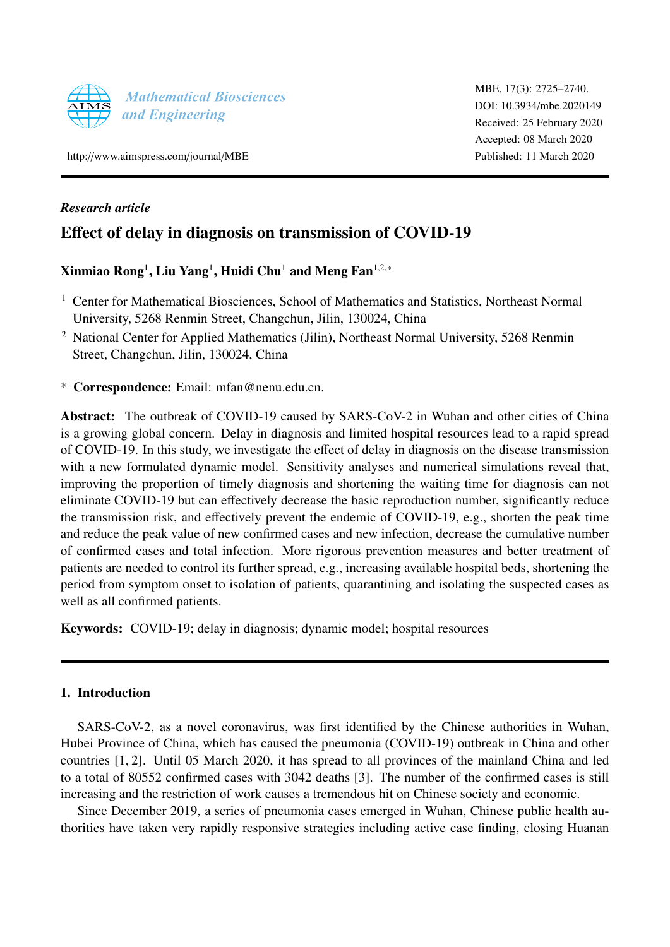

http://[www.aimspress.com](http://http://www.aimspress.com/journal/MBE)/journal/MBE

# *Research article*

# Effect of delay in diagnosis on transmission of COVID-19

# Xinmiao Rong $^{\rm l}$ , Liu Yang $^{\rm l}$ , Huidi Chu $^{\rm l}$  and Meng Fan $^{\rm l,2,*}$

- <sup>1</sup> Center for Mathematical Biosciences, School of Mathematics and Statistics, Northeast Normal University, 5268 Renmin Street, Changchun, Jilin, 130024, China
- <sup>2</sup> National Center for Applied Mathematics (Jilin), Northeast Normal University, 5268 Renmin Street, Changchun, Jilin, 130024, China
- \* Correspondence: Email: mfan@nenu.edu.cn.

Abstract: The outbreak of COVID-19 caused by SARS-CoV-2 in Wuhan and other cities of China is a growing global concern. Delay in diagnosis and limited hospital resources lead to a rapid spread of COVID-19. In this study, we investigate the effect of delay in diagnosis on the disease transmission with a new formulated dynamic model. Sensitivity analyses and numerical simulations reveal that, improving the proportion of timely diagnosis and shortening the waiting time for diagnosis can not eliminate COVID-19 but can effectively decrease the basic reproduction number, significantly reduce the transmission risk, and effectively prevent the endemic of COVID-19, e.g., shorten the peak time and reduce the peak value of new confirmed cases and new infection, decrease the cumulative number of confirmed cases and total infection. More rigorous prevention measures and better treatment of patients are needed to control its further spread, e.g., increasing available hospital beds, shortening the period from symptom onset to isolation of patients, quarantining and isolating the suspected cases as well as all confirmed patients.

Keywords: COVID-19; delay in diagnosis; dynamic model; hospital resources

# 1. Introduction

SARS-CoV-2, as a novel coronavirus, was first identified by the Chinese authorities in Wuhan, Hubei Province of China, which has caused the pneumonia (COVID-19) outbreak in China and other countries [\[1,](#page-13-0) [2\]](#page-13-1). Until 05 March 2020, it has spread to all provinces of the mainland China and led to a total of 80552 confirmed cases with 3042 deaths [\[3\]](#page-13-2). The number of the confirmed cases is still increasing and the restriction of work causes a tremendous hit on Chinese society and economic.

Since December 2019, a series of pneumonia cases emerged in Wuhan, Chinese public health authorities have taken very rapidly responsive strategies including active case finding, closing Huanan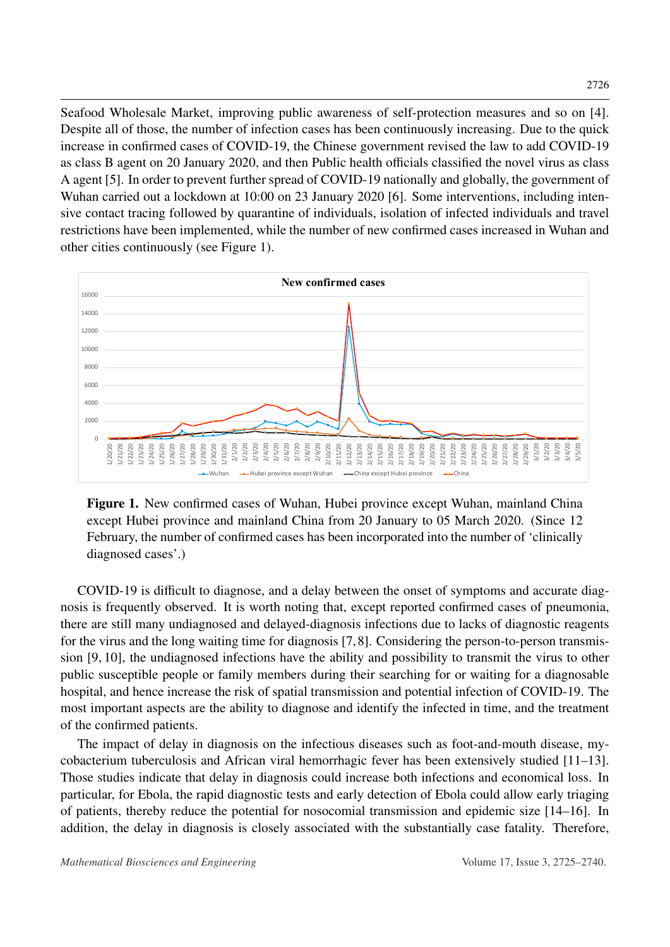Seafood Wholesale Market, improving public awareness of self-protection measures and so on [\[4\]](#page-13-3). Despite all of those, the number of infection cases has been continuously increasing. Due to the quick increase in confirmed cases of COVID-19, the Chinese government revised the law to add COVID-19 as class B agent on 20 January 2020, and then Public health officials classified the novel virus as class A agent [\[5\]](#page-13-4). In order to prevent further spread of COVID-19 nationally and globally, the government of Wuhan carried out a lockdown at 10:00 on 23 January 2020 [\[6\]](#page-13-5). Some interventions, including intensive contact tracing followed by quarantine of individuals, isolation of infected individuals and travel restrictions have been implemented, while the number of new confirmed cases increased in Wuhan and other cities continuously (see Figure [1\)](#page-1-0).

<span id="page-1-0"></span>

Figure 1. New confirmed cases of Wuhan, Hubei province except Wuhan, mainland China except Hubei province and mainland China from 20 January to 05 March 2020. (Since 12 February, the number of confirmed cases has been incorporated into the number of 'clinically diagnosed cases'.)

COVID-19 is difficult to diagnose, and a delay between the onset of symptoms and accurate diagnosis is frequently observed. It is worth noting that, except reported confirmed cases of pneumonia, there are still many undiagnosed and delayed-diagnosis infections due to lacks of diagnostic reagents for the virus and the long waiting time for diagnosis [\[7,](#page-13-6)[8\]](#page-13-7). Considering the person-to-person transmission [\[9,](#page-13-8) [10\]](#page-13-9), the undiagnosed infections have the ability and possibility to transmit the virus to other public susceptible people or family members during their searching for or waiting for a diagnosable hospital, and hence increase the risk of spatial transmission and potential infection of COVID-19. The most important aspects are the ability to diagnose and identify the infected in time, and the treatment of the confirmed patients.

The impact of delay in diagnosis on the infectious diseases such as foot-and-mouth disease, mycobacterium tuberculosis and African viral hemorrhagic fever has been extensively studied [\[11](#page-13-10)[–13\]](#page-13-11). Those studies indicate that delay in diagnosis could increase both infections and economical loss. In particular, for Ebola, the rapid diagnostic tests and early detection of Ebola could allow early triaging of patients, thereby reduce the potential for nosocomial transmission and epidemic size [\[14](#page-13-12)[–16\]](#page-14-0). In addition, the delay in diagnosis is closely associated with the substantially case fatality. Therefore,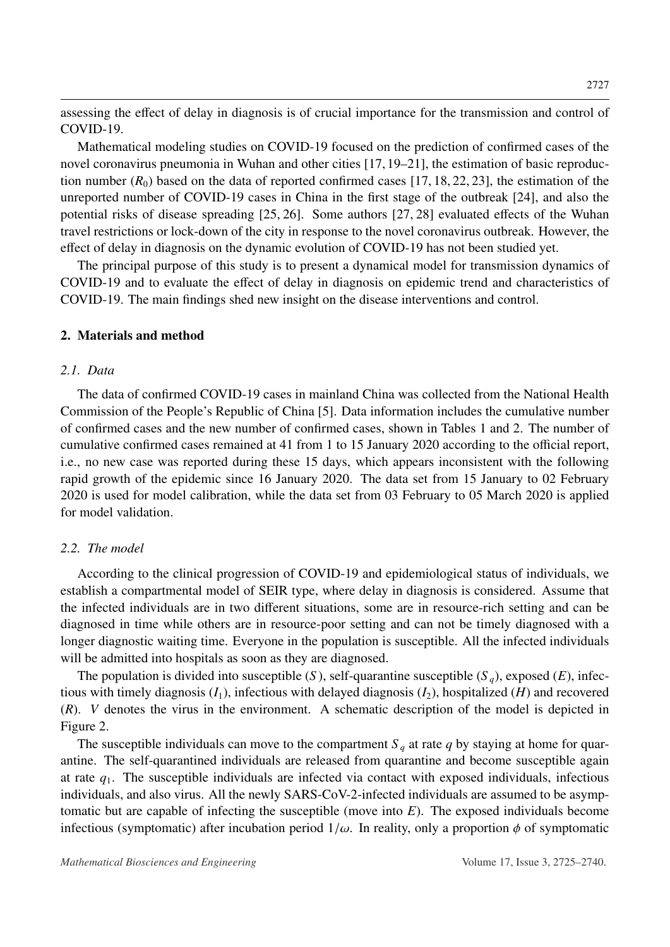assessing the effect of delay in diagnosis is of crucial importance for the transmission and control of COVID-19.

Mathematical modeling studies on COVID-19 focused on the prediction of confirmed cases of the novel coronavirus pneumonia in Wuhan and other cities [\[17,](#page-14-1) [19](#page-14-2)[–21\]](#page-14-3), the estimation of basic reproduction number  $(R_0)$  based on the data of reported confirmed cases [\[17,](#page-14-1) [18,](#page-14-4) [22,](#page-14-5) [23\]](#page-14-6), the estimation of the unreported number of COVID-19 cases in China in the first stage of the outbreak [\[24\]](#page-14-7), and also the potential risks of disease spreading [\[25,](#page-14-8) [26\]](#page-14-9). Some authors [\[27,](#page-14-10) [28\]](#page-14-11) evaluated effects of the Wuhan travel restrictions or lock-down of the city in response to the novel coronavirus outbreak. However, the effect of delay in diagnosis on the dynamic evolution of COVID-19 has not been studied yet.

The principal purpose of this study is to present a dynamical model for transmission dynamics of COVID-19 and to evaluate the effect of delay in diagnosis on epidemic trend and characteristics of COVID-19. The main findings shed new insight on the disease interventions and control.

#### 2. Materials and method

#### *2.1. Data*

The data of confirmed COVID-19 cases in mainland China was collected from the National Health Commission of the People's Republic of China [\[5\]](#page-13-4). Data information includes the cumulative number of confirmed cases and the new number of confirmed cases, shown in Tables [1](#page-3-0) and [2.](#page-3-1) The number of cumulative confirmed cases remained at 41 from 1 to 15 January 2020 according to the official report, i.e., no new case was reported during these 15 days, which appears inconsistent with the following rapid growth of the epidemic since 16 January 2020. The data set from 15 January to 02 February 2020 is used for model calibration, while the data set from 03 February to 05 March 2020 is applied for model validation.

#### *2.2. The model*

According to the clinical progression of COVID-19 and epidemiological status of individuals, we establish a compartmental model of SEIR type, where delay in diagnosis is considered. Assume that the infected individuals are in two different situations, some are in resource-rich setting and can be diagnosed in time while others are in resource-poor setting and can not be timely diagnosed with a longer diagnostic waiting time. Everyone in the population is susceptible. All the infected individuals will be admitted into hospitals as soon as they are diagnosed.

The population is divided into susceptible  $(S)$ , self-quarantine susceptible  $(S_q)$ , exposed  $(E)$ , infectious with timely diagnosis  $(I_1)$ , infectious with delayed diagnosis  $(I_2)$ , hospitalized  $(H)$  and recovered (*R*). *V* denotes the virus in the environment. A schematic description of the model is depicted in Figure [2.](#page-4-0)

The susceptible individuals can move to the compartment  $S_q$  at rate  $q$  by staying at home for quarantine. The self-quarantined individuals are released from quarantine and become susceptible again at rate *q*1. The susceptible individuals are infected via contact with exposed individuals, infectious individuals, and also virus. All the newly SARS-CoV-2-infected individuals are assumed to be asymptomatic but are capable of infecting the susceptible (move into *E*). The exposed individuals become infectious (symptomatic) after incubation period  $1/\omega$ . In reality, only a proportion  $\phi$  of symptomatic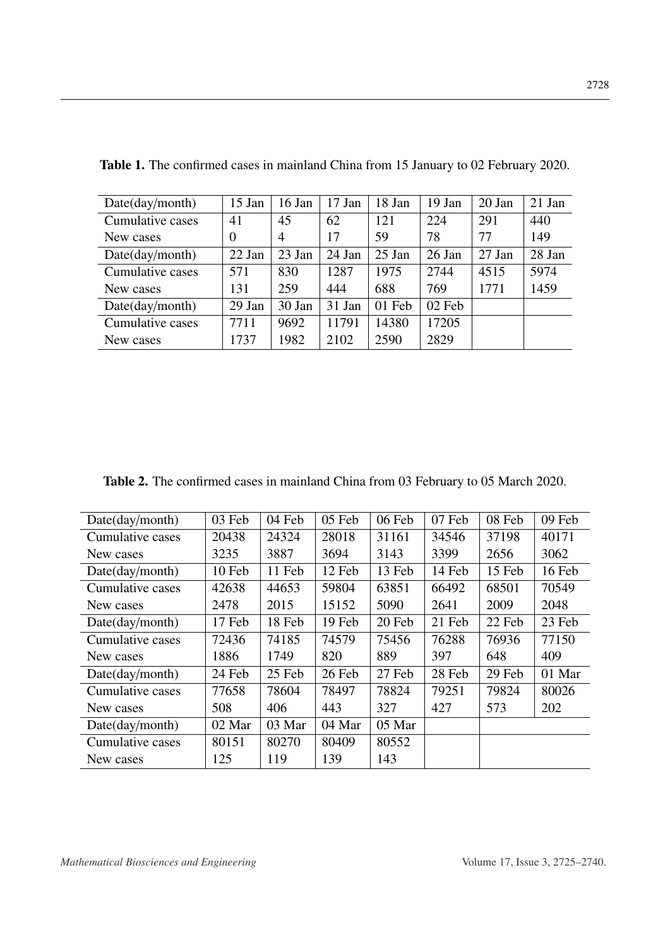| Date (day/month) | 15 Jan         | 16 Jan         | $17$ Jan | 18 Jan   | $19$ Jan | $20$ Jan | $21$ Jan |
|------------------|----------------|----------------|----------|----------|----------|----------|----------|
| Cumulative cases | 41             | 45             | 62       | 121      | 224      | 291      | 440      |
| New cases        | $\overline{0}$ | $\overline{4}$ | 17       | 59       | 78       | 77       | 149      |
| Date (day/month) | 22 Jan         | 23 Jan         | 24 Jan   | $25$ Jan | 26 Jan   | 27 Jan   | 28 Jan   |
| Cumulative cases | 571            | 830            | 1287     | 1975     | 2744     | 4515     | 5974     |
| New cases        | 131            | 259            | 444      | 688      | 769      | 1771     | 1459     |
| Date (day/month) | 29 Jan         | 30 Jan         | 31 Jan   | 01 Feb   | 02 Feb   |          |          |
| Cumulative cases | 7711           | 9692           | 11791    | 14380    | 17205    |          |          |
| New cases        | 1737           | 1982           | 2102     | 2590     | 2829     |          |          |

<span id="page-3-0"></span>Table 1. The confirmed cases in mainland China from 15 January to 02 February 2020.

<span id="page-3-1"></span>

| Table 2. The confirmed cases in mainland China from 03 February to 05 March 2020. |  |  |  |  |
|-----------------------------------------------------------------------------------|--|--|--|--|
|                                                                                   |  |  |  |  |

| Date (day/month) | 03 Feb | 04 Feb | 05 Feb | 06 Feb | 07 Feb | 08 Feb | 09 Feb |
|------------------|--------|--------|--------|--------|--------|--------|--------|
| Cumulative cases | 20438  | 24324  | 28018  | 31161  | 34546  | 37198  | 40171  |
| New cases        | 3235   | 3887   | 3694   | 3143   | 3399   | 2656   | 3062   |
| Date (day/month) | 10 Feb | 11 Feb | 12 Feb | 13 Feb | 14 Feb | 15 Feb | 16 Feb |
| Cumulative cases | 42638  | 44653  | 59804  | 63851  | 66492  | 68501  | 70549  |
| New cases        | 2478   | 2015   | 15152  | 5090   | 2641   | 2009   | 2048   |
| Date(day/month)  | 17 Feb | 18 Feb | 19 Feb | 20 Feb | 21 Feb | 22 Feb | 23 Feb |
| Cumulative cases | 72436  | 74185  | 74579  | 75456  | 76288  | 76936  | 77150  |
| New cases        | 1886   | 1749   | 820    | 889    | 397    | 648    | 409    |
| Date (day/month) | 24 Feb | 25 Feb | 26 Feb | 27 Feb | 28 Feb | 29 Feb | 01 Mar |
| Cumulative cases | 77658  | 78604  | 78497  | 78824  | 79251  | 79824  | 80026  |
| New cases        | 508    | 406    | 443    | 327    | 427    | 573    | 202    |
| Date (day/month) | 02 Mar | 03 Mar | 04 Mar | 05 Mar |        |        |        |
| Cumulative cases | 80151  | 80270  | 80409  | 80552  |        |        |        |
| New cases        | 125    | 119    | 139    | 143    |        |        |        |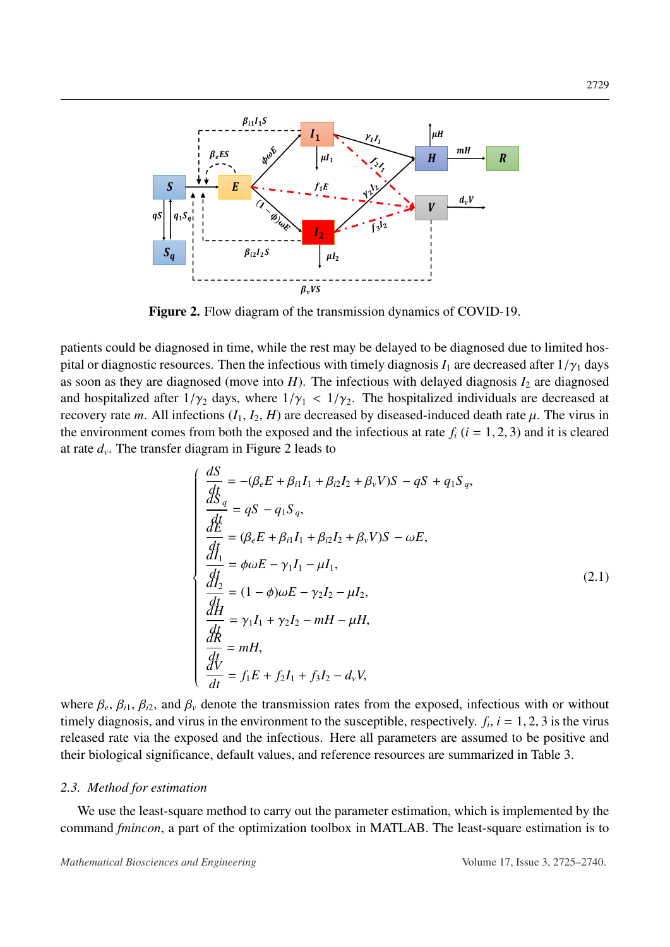<span id="page-4-0"></span>

Figure 2. Flow diagram of the transmission dynamics of COVID-19.

patients could be diagnosed in time, while the rest may be delayed to be diagnosed due to limited hospital or diagnostic resources. Then the infectious with timely diagnosis  $I_1$  are decreased after  $1/\gamma_1$  days as soon as they are diagnosed (move into  $H$ ). The infectious with delayed diagnosis  $I_2$  are diagnosed and hospitalized after  $1/\gamma_2$  days, where  $1/\gamma_1 < 1/\gamma_2$ . The hospitalized individuals are decreased at recovery rate *m*. All infections  $(I_1, I_2, H)$  are decreased by diseased-induced death rate  $\mu$ . The virus in the environment comes from both the exposed and the infectious at rate  $f_i$  ( $i = 1, 2, 3$ ) and it is cleared at rate *d<sup>v</sup>* . The transfer diagram in Figure [2](#page-4-0) leads to

<span id="page-4-1"></span>
$$
\begin{cases}\n\frac{dS}{dt} = -(\beta_e E + \beta_{i1} I_1 + \beta_{i2} I_2 + \beta_v V)S - qS + q_1 S_q, \n\frac{dS}{dt} = qS - q_1 S_q, \n\frac{dE}{dt} = (\beta_e E + \beta_{i1} I_1 + \beta_{i2} I_2 + \beta_v V)S - \omega E, \n\frac{dI_1}{dt} = \phi \omega E - \gamma_1 I_1 - \mu I_1, \n\frac{dI_2}{dt} = (1 - \phi) \omega E - \gamma_2 I_2 - \mu I_2, \n\frac{dH}{dt} = \gamma_1 I_1 + \gamma_2 I_2 - mH - \mu H, \n\frac{dR}{dt} = mH, \n\frac{dV}{dt} = f_1 E + f_2 I_1 + f_3 I_2 - d_v V, \n\end{cases}
$$
\n(2.1)

where  $\beta_e$ ,  $\beta_{i1}$ ,  $\beta_{i2}$ , and  $\beta_{\nu}$  denote the transmission rates from the exposed, infectious with or without timely diagnosis, and virus in the environment to the susceptible, respectively  $f_i = 1, 2, 3$  is the timely diagnosis, and virus in the environment to the susceptible, respectively.  $f_i$ ,  $i = 1, 2, 3$  is the virus released rate via the exposed and the infectious. Here all parameters are assumed to be positive and released rate via the exposed and the infectious. Here all parameters are assumed to be positive and their biological significance, default values, and reference resources are summarized in Table [3.](#page-6-0)

#### <span id="page-4-2"></span>*2.3. Method for estimation*

We use the least-square method to carry out the parameter estimation, which is implemented by the command *fmincon*, a part of the optimization toolbox in MATLAB. The least-square estimation is to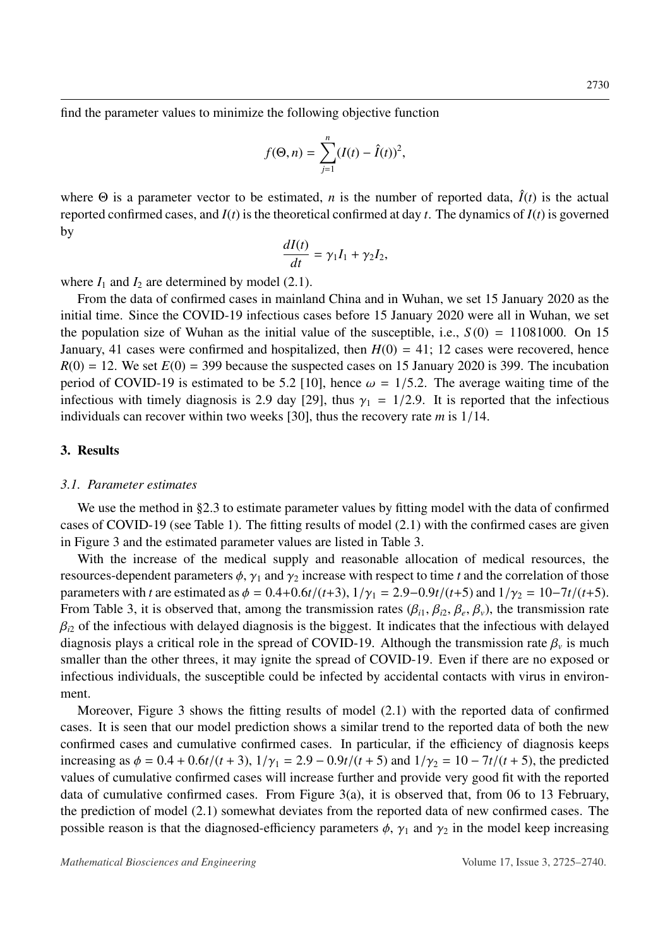find the parameter values to minimize the following objective function

$$
f(\Theta, n) = \sum_{j=1}^{n} (I(t) - \hat{I}(t))^{2},
$$

where  $\Theta$  is a parameter vector to be estimated, *n* is the number of reported data,  $\hat{I}(t)$  is the actual reported confirmed cases, and *I*(*t*) is the theoretical confirmed at day *t*. The dynamics of *I*(*t*) is governed by

$$
\frac{dI(t)}{dt} = \gamma_1 I_1 + \gamma_2 I_2,
$$

where  $I_1$  and  $I_2$  are determined by model [\(2.1\)](#page-4-1).

From the data of confirmed cases in mainland China and in Wuhan, we set 15 January 2020 as the initial time. Since the COVID-19 infectious cases before 15 January 2020 were all in Wuhan, we set the population size of Wuhan as the initial value of the susceptible, i.e.,  $S(0) = 11081000$ . On 15 January, 41 cases were confirmed and hospitalized, then  $H(0) = 41$ ; 12 cases were recovered, hence  $R(0) = 12$ . We set  $E(0) = 399$  because the suspected cases on 15 January 2020 is 399. The incubation period of COVID-19 is estimated to be 5.2 [\[10\]](#page-13-9), hence  $\omega = 1/5.2$ . The average waiting time of the infectious with timely diagnosis is 2.9 day [\[29\]](#page-14-12), thus  $\gamma_1 = 1/2.9$ . It is reported that the infectious individuals can recover within two weeks [\[30\]](#page-15-0), thus the recovery rate *<sup>m</sup>* is 1/14.

## 3. Results

#### *3.1. Parameter estimates*

We use the method in §[2.3](#page-4-2) to estimate parameter values by fitting model with the data of confirmed cases of COVID-19 (see Table [1\)](#page-3-0). The fitting results of model [\(2.1\)](#page-4-1) with the confirmed cases are given in Figure [3](#page-7-0) and the estimated parameter values are listed in Table [3.](#page-6-0)

With the increase of the medical supply and reasonable allocation of medical resources, the resources-dependent parameters  $\phi$ ,  $\gamma_1$  and  $\gamma_2$  increase with respect to time *t* and the correlation of those parameters with *t* are estimated as  $\phi = 0.4 + 0.6t/(t+3)$ ,  $1/\gamma_1 = 2.9 - 0.9t/(t+5)$  and  $1/\gamma_2 = 10 - 7t/(t+5)$ . From Table [3,](#page-6-0) it is observed that, among the transmission rates  $(\beta_{i1}, \beta_{i2}, \beta_e, \beta_v)$ , the transmission rate  $\beta_{i2}$  of the infectious with delayed  $\beta_{i2}$  of the infectious with delayed diagnosis is the biggest. It indicates that the infectious with delayed diagnosis plays a critical role in the spread of COVID-19. Although the transmission rate  $\beta_v$  is much<br>smaller than the other threes it may ignite the spread of COVID-19. Even if there are no exposed or smaller than the other threes, it may ignite the spread of COVID-19. Even if there are no exposed or infectious individuals, the susceptible could be infected by accidental contacts with virus in environment.

Moreover, Figure [3](#page-7-0) shows the fitting results of model [\(2.1\)](#page-4-1) with the reported data of confirmed cases. It is seen that our model prediction shows a similar trend to the reported data of both the new confirmed cases and cumulative confirmed cases. In particular, if the efficiency of diagnosis keeps increasing as  $\phi = 0.4 + 0.6t/(t + 3)$ ,  $1/\gamma_1 = 2.9 - 0.9t/(t + 5)$  and  $1/\gamma_2 = 10 - 7t/(t + 5)$ , the predicted values of cumulative confirmed cases will increase further and provide very good fit with the reported data of cumulative confirmed cases. From Figure [3\(](#page-7-0)a), it is observed that, from 06 to 13 February, the prediction of model [\(2.1\)](#page-4-1) somewhat deviates from the reported data of new confirmed cases. The possible reason is that the diagnosed-efficiency parameters  $\phi$ ,  $\gamma_1$  and  $\gamma_2$  in the model keep increasing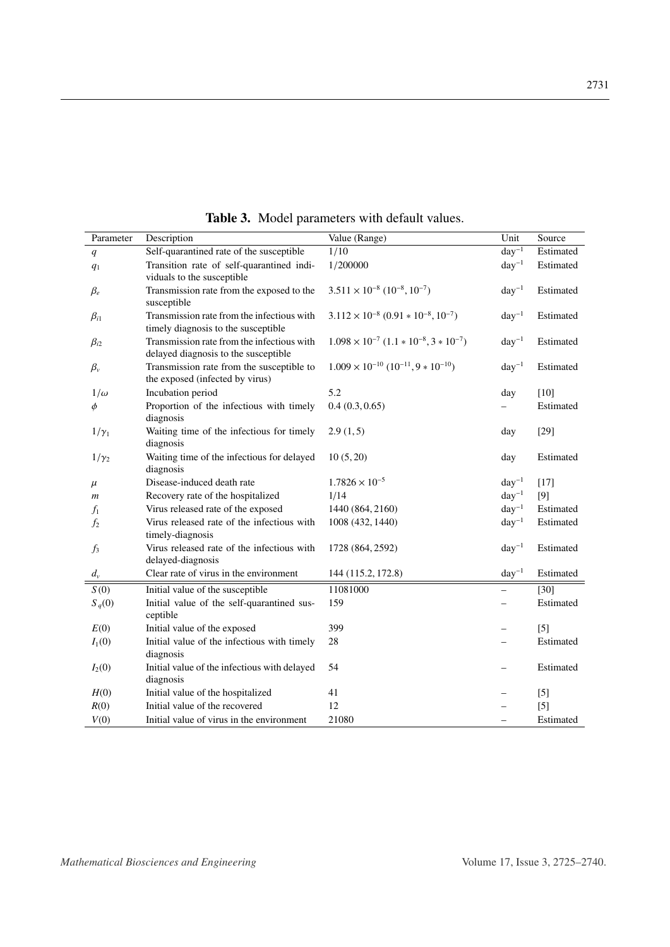<span id="page-6-0"></span>

| Parameter        | Description                                  | Value (Range)                                         | Unit       | Source    |
|------------------|----------------------------------------------|-------------------------------------------------------|------------|-----------|
|                  | Self-quarantined rate of the susceptible     | 1/10                                                  | $day^{-1}$ | Estimated |
| q                | Transition rate of self-quarantined indi-    | 1/200000                                              | $day^{-1}$ | Estimated |
| q <sub>1</sub>   | viduals to the susceptible                   |                                                       |            |           |
| $\beta_e$        | Transmission rate from the exposed to the    | $3.511 \times 10^{-8}$ $(10^{-8}, 10^{-7})$           | $day^{-1}$ | Estimated |
|                  | susceptible                                  |                                                       |            |           |
| $\beta_{i1}$     | Transmission rate from the infectious with   | $3.112 \times 10^{-8} (0.91 * 10^{-8}, 10^{-7})$      | $day^{-1}$ | Estimated |
|                  | timely diagnosis to the susceptible          |                                                       |            |           |
| $\beta_{i2}$     | Transmission rate from the infectious with   | $1.098 \times 10^{-7}$ $(1.1 * 10^{-8}, 3 * 10^{-7})$ | $day^{-1}$ | Estimated |
|                  | delayed diagnosis to the susceptible         |                                                       |            |           |
| $\beta_{v}$      | Transmission rate from the susceptible to    | $1.009 \times 10^{-10}$ $(10^{-11}, 9 * 10^{-10})$    | $day^{-1}$ | Estimated |
|                  | the exposed (infected by virus)              |                                                       |            |           |
| $1/\omega$       | Incubation period                            | 5.2                                                   | day        | $[10]$    |
| $\phi$           | Proportion of the infectious with timely     | 0.4(0.3, 0.65)                                        |            | Estimated |
|                  | diagnosis                                    |                                                       |            |           |
| $1/\gamma_1$     | Waiting time of the infectious for timely    | 2.9(1,5)                                              | day        | $[29]$    |
|                  | diagnosis                                    |                                                       |            |           |
| $1/\gamma_2$     | Waiting time of the infectious for delayed   | 10(5, 20)                                             | day        | Estimated |
|                  | diagnosis                                    |                                                       |            |           |
| $\mu$            | Disease-induced death rate                   | $1.7826 \times 10^{-5}$                               | $day^{-1}$ | $[17]$    |
| $\boldsymbol{m}$ | Recovery rate of the hospitalized            | 1/14                                                  | $day^{-1}$ | [9]       |
| $f_1$            | Virus released rate of the exposed           | 1440 (864, 2160)                                      | $day^{-1}$ | Estimated |
| $f_2$            | Virus released rate of the infectious with   | 1008 (432, 1440)                                      | $day^{-1}$ | Estimated |
|                  | timely-diagnosis                             |                                                       |            |           |
| $f_3$            | Virus released rate of the infectious with   | 1728 (864, 2592)                                      | $day^{-1}$ | Estimated |
|                  | delayed-diagnosis                            |                                                       |            |           |
| $d_v$            | Clear rate of virus in the environment       | 144 (115.2, 172.8)                                    | $day^{-1}$ | Estimated |
| S(0)             | Initial value of the susceptible             | 11081000                                              |            | $[30]$    |
| $S_q(0)$         | Initial value of the self-quarantined sus-   | 159                                                   |            | Estimated |
|                  | ceptible                                     |                                                       |            |           |
| E(0)             | Initial value of the exposed                 | 399                                                   |            | [5]       |
| $I_1(0)$         | Initial value of the infectious with timely  | 28                                                    |            | Estimated |
|                  | diagnosis                                    |                                                       |            |           |
| $I_2(0)$         | Initial value of the infectious with delayed | 54                                                    |            | Estimated |
|                  | diagnosis                                    |                                                       |            |           |
| H(0)             | Initial value of the hospitalized            | 41                                                    |            | $[5]$     |
| R(0)             | Initial value of the recovered               | 12                                                    |            | $[5]$     |
| V(0)             | Initial value of virus in the environment    | 21080                                                 |            | Estimated |

Table 3. Model parameters with default values.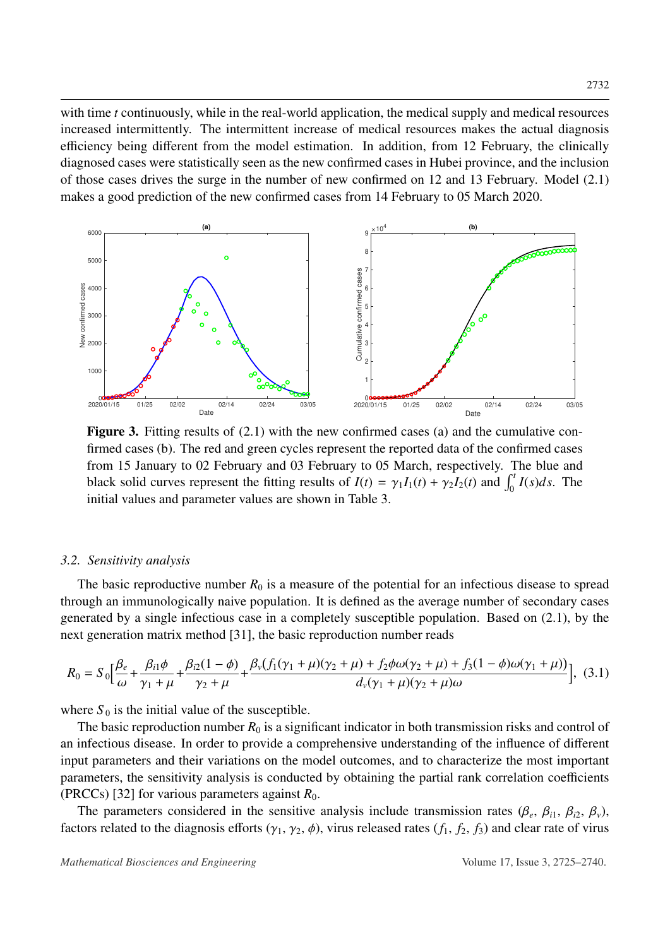with time *t* continuously, while in the real-world application, the medical supply and medical resources increased intermittently. The intermittent increase of medical resources makes the actual diagnosis efficiency being different from the model estimation. In addition, from 12 February, the clinically diagnosed cases were statistically seen as the new confirmed cases in Hubei province, and the inclusion of those cases drives the surge in the number of new confirmed on 12 and 13 February. Model [\(2.1\)](#page-4-1) makes a good prediction of the new confirmed cases from 14 February to 05 March 2020.

<span id="page-7-0"></span>

Figure 3. Fitting results of [\(2.1\)](#page-4-1) with the new confirmed cases (a) and the cumulative confirmed cases (b). The red and green cycles represent the reported data of the confirmed cases from 15 January to 02 February and 03 February to 05 March, respectively. The blue and black solid curves represent the fitting results of  $I(t) = \gamma_1 I_1(t) + \gamma_2 I_2(t)$  and  $\int_0^t I(s)ds$ . The initial values and parameter values are shown in Table [3.](#page-6-0)

#### *3.2. Sensitivity analysis*

The basic reproductive number  $R_0$  is a measure of the potential for an infectious disease to spread through an immunologically naive population. It is defined as the average number of secondary cases generated by a single infectious case in a completely susceptible population. Based on [\(2.1\)](#page-4-1), by the next generation matrix method [\[31\]](#page-15-1), the basic reproduction number reads

$$
R_0 = S_0 \Big[ \frac{\beta_e}{\omega} + \frac{\beta_{i1}\phi}{\gamma_1 + \mu} + \frac{\beta_{i2}(1 - \phi)}{\gamma_2 + \mu} + \frac{\beta_v(f_1(\gamma_1 + \mu)(\gamma_2 + \mu) + f_2\phi\omega(\gamma_2 + \mu) + f_3(1 - \phi)\omega(\gamma_1 + \mu))}{d_v(\gamma_1 + \mu)(\gamma_2 + \mu)\omega} \Big], \tag{3.1}
$$

where  $S_0$  is the initial value of the susceptible.

The basic reproduction number  $R_0$  is a significant indicator in both transmission risks and control of an infectious disease. In order to provide a comprehensive understanding of the influence of different input parameters and their variations on the model outcomes, and to characterize the most important parameters, the sensitivity analysis is conducted by obtaining the partial rank correlation coefficients (PRCCs) [\[32\]](#page-15-2) for various parameters against  $R_0$ .

The parameters considered in the sensitive analysis include transmission rates ( $\beta_e$ ,  $\beta_{i1}$ ,  $\beta_{i2}$ ,  $\beta_v$ ), tors related to the diagnosis efforts ( $\alpha_i$ ,  $\alpha_i$ ,  $\phi_i$ ) virus released rates ( $f$ ,  $f$ ,  $f$ ) and clear factors related to the diagnosis efforts  $(\gamma_1, \gamma_2, \phi)$ , virus released rates  $(f_1, f_2, f_3)$  and clear rate of virus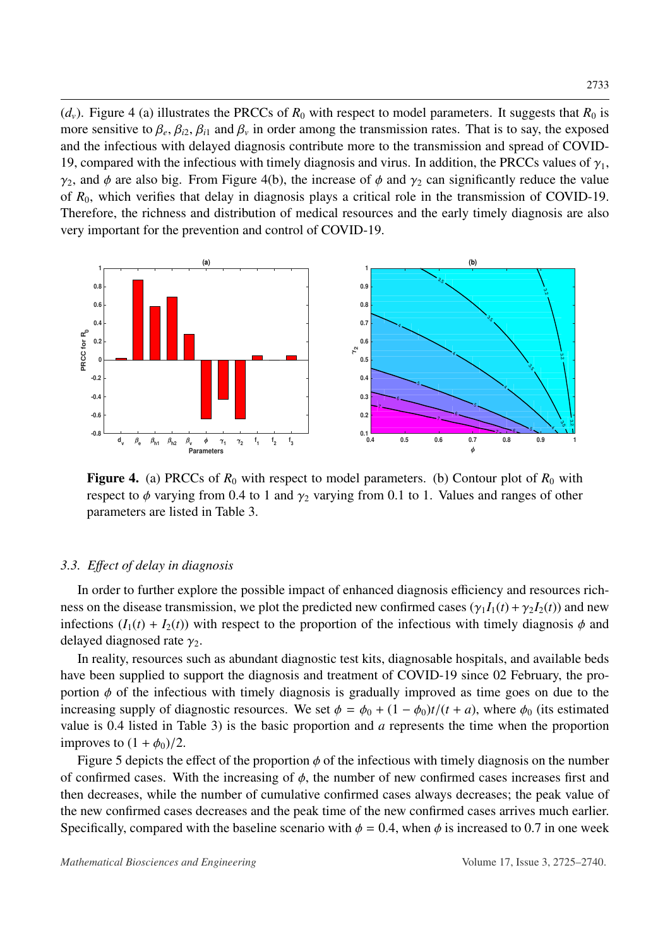$(d_v)$ . Figure [4](#page-8-0) (a) illustrates the PRCCs of  $R_0$  with respect to model parameters. It suggests that  $R_0$  is more sensitive to  $\beta_e$ ,  $\beta_{i2}$ ,  $\beta_{i1}$  and  $\beta_v$  in order among the transmission rates. That is to say, the exposed<br>and the infectious with delayed diagnosis contribute more to the transmission and spread of COVIDand the infectious with delayed diagnosis contribute more to the transmission and spread of COVID-19, compared with the infectious with timely diagnosis and virus. In addition, the PRCCs values of  $\gamma_1$ ,  $\gamma_2$ , and  $\phi$  are also big. From Figure [4\(](#page-8-0)b), the increase of  $\phi$  and  $\gamma_2$  can significantly reduce the value of *R*0, which verifies that delay in diagnosis plays a critical role in the transmission of COVID-19. Therefore, the richness and distribution of medical resources and the early timely diagnosis are also very important for the prevention and control of COVID-19.

<span id="page-8-0"></span>

Figure 4. (a) PRCCs of  $R_0$  with respect to model parameters. (b) Contour plot of  $R_0$  with respect to  $\phi$  varying from 0.4 to 1 and  $\gamma_2$  varying from 0.1 to 1. Values and ranges of other parameters are listed in Table [3.](#page-6-0)

## *3.3. E*ff*ect of delay in diagnosis*

In order to further explore the possible impact of enhanced diagnosis efficiency and resources richness on the disease transmission, we plot the predicted new confirmed cases  $(\gamma_1 I_1(t) + \gamma_2 I_2(t))$  and new infections  $(I_1(t) + I_2(t))$  with respect to the proportion of the infectious with timely diagnosis  $\phi$  and delayed diagnosed rate  $\gamma_2$ .

In reality, resources such as abundant diagnostic test kits, diagnosable hospitals, and available beds have been supplied to support the diagnosis and treatment of COVID-19 since 02 February, the proportion  $\phi$  of the infectious with timely diagnosis is gradually improved as time goes on due to the increasing supply of diagnostic resources. We set  $\phi = \phi_0 + (1 - \phi_0)t/(t + a)$ , where  $\phi_0$  (its estimated value is 0.4 listed in Table [3\)](#page-6-0) is the basic proportion and *<sup>a</sup>* represents the time when the proportion improves to  $(1 + \phi_0)/2$ .

Figure [5](#page-9-0) depicts the effect of the proportion  $\phi$  of the infectious with timely diagnosis on the number of confirmed cases. With the increasing of  $\phi$ , the number of new confirmed cases increases first and then decreases, while the number of cumulative confirmed cases always decreases; the peak value of the new confirmed cases decreases and the peak time of the new confirmed cases arrives much earlier. Specifically, compared with the baseline scenario with  $\phi = 0.4$ , when  $\phi$  is increased to 0.7 in one week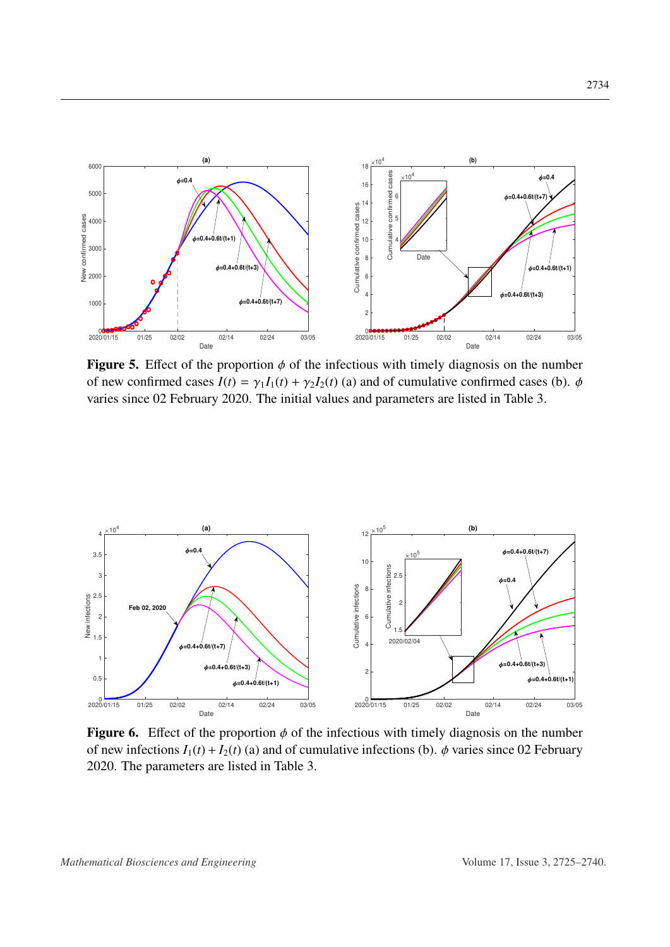<span id="page-9-0"></span>

Figure 5. Effect of the proportion  $\phi$  of the infectious with timely diagnosis on the number of new confirmed cases  $I(t) = \gamma_1 I_1(t) + \gamma_2 I_2(t)$  (a) and of cumulative confirmed cases (b).  $\phi$ varies since 02 February 2020. The initial values and parameters are listed in Table [3.](#page-6-0)

<span id="page-9-1"></span>

Figure 6. Effect of the proportion  $\phi$  of the infectious with timely diagnosis on the number of new infections  $I_1(t) + I_2(t)$  (a) and of cumulative infections (b).  $\phi$  varies since 02 February 2020. The parameters are listed in Table [3.](#page-6-0)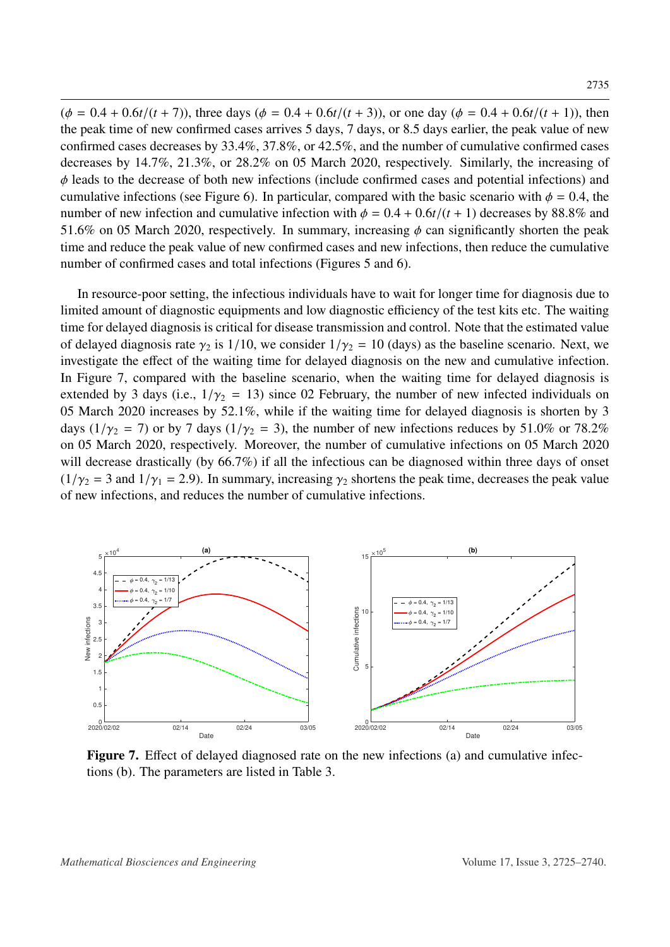$(\phi = 0.4 + 0.6t/(t + 7))$ , three days  $(\phi = 0.4 + 0.6t/(t + 3))$ , or one day  $(\phi = 0.4 + 0.6t/(t + 1))$ , then the peak time of new confirmed cases arrives 5 days, 7 days, or 8.5 days earlier, the peak value of new confirmed cases decreases by 33.4%, 37.8%, or 42.5%, and the number of cumulative confirmed cases decreases by 14.7%, 21.3%, or 28.2% on 05 March 2020, respectively. Similarly, the increasing of  $\phi$  leads to the decrease of both new infections (include confirmed cases and potential infections) and cumulative infections (see Figure [6\)](#page-9-1). In particular, compared with the basic scenario with  $\phi = 0.4$ , the number of new infection and cumulative infection with  $\phi = 0.4 + 0.6t/(t + 1)$  decreases by 88.8% and 51.6% on 05 March 2020, respectively. In summary, increasing  $\phi$  can significantly shorten the peak time and reduce the peak value of new confirmed cases and new infections, then reduce the cumulative number of confirmed cases and total infections (Figures [5](#page-9-0) and [6\)](#page-9-1).

In resource-poor setting, the infectious individuals have to wait for longer time for diagnosis due to limited amount of diagnostic equipments and low diagnostic efficiency of the test kits etc. The waiting time for delayed diagnosis is critical for disease transmission and control. Note that the estimated value of delayed diagnosis rate  $\gamma_2$  is 1/10, we consider  $1/\gamma_2 = 10$  (days) as the baseline scenario. Next, we investigate the effect of the waiting time for delayed diagnosis on the new and cumulative infection. In Figure [7,](#page-10-0) compared with the baseline scenario, when the waiting time for delayed diagnosis is extended by 3 days (i.e.,  $1/\gamma_2 = 13$ ) since 02 February, the number of new infected individuals on 05 March 2020 increases by 52.1%, while if the waiting time for delayed diagnosis is shorten by 3 days ( $1/\gamma_2 = 7$ ) or by 7 days ( $1/\gamma_2 = 3$ ), the number of new infections reduces by 51.0% or 78.2% on 05 March 2020, respectively. Moreover, the number of cumulative infections on 05 March 2020 will decrease drastically (by 66.7%) if all the infectious can be diagnosed within three days of onset  $(1/\gamma_2 = 3$  and  $1/\gamma_1 = 2.9)$ . In summary, increasing  $\gamma_2$  shortens the peak time, decreases the peak value of new infections, and reduces the number of cumulative infections.

<span id="page-10-0"></span>

Figure 7. Effect of delayed diagnosed rate on the new infections (a) and cumulative infections (b). The parameters are listed in Table [3.](#page-6-0)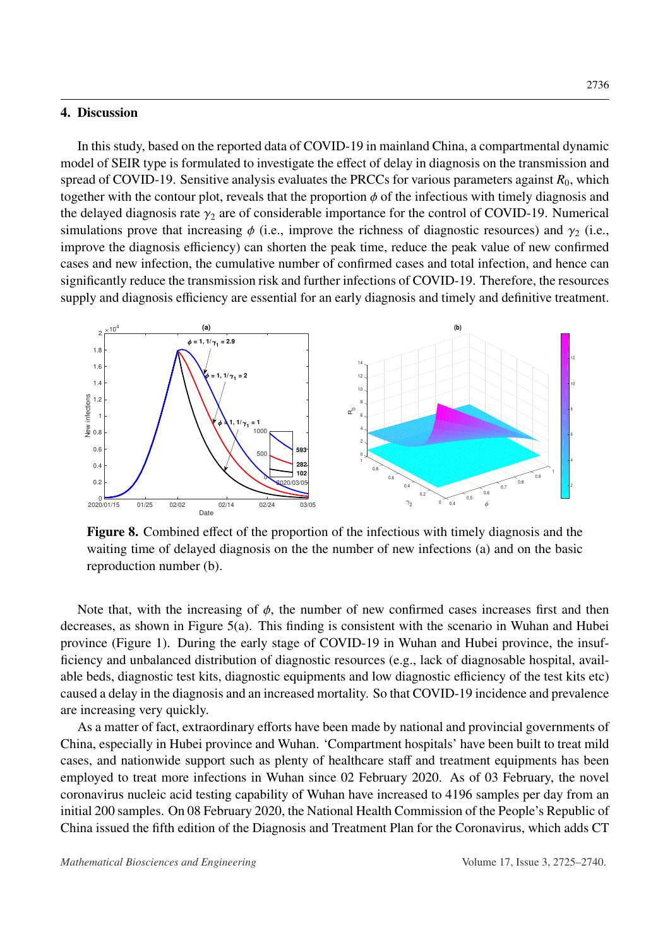#### 4. Discussion

In this study, based on the reported data of COVID-19 in mainland China, a compartmental dynamic model of SEIR type is formulated to investigate the effect of delay in diagnosis on the transmission and spread of COVID-19. Sensitive analysis evaluates the PRCCs for various parameters against  $R_0$ , which together with the contour plot, reveals that the proportion  $\phi$  of the infectious with timely diagnosis and the delayed diagnosis rate  $\gamma_2$  are of considerable importance for the control of COVID-19. Numerical simulations prove that increasing  $\phi$  (i.e., improve the richness of diagnostic resources) and  $\gamma_2$  (i.e., improve the diagnosis efficiency) can shorten the peak time, reduce the peak value of new confirmed cases and new infection, the cumulative number of confirmed cases and total infection, and hence can significantly reduce the transmission risk and further infections of COVID-19. Therefore, the resources supply and diagnosis efficiency are essential for an early diagnosis and timely and definitive treatment.

<span id="page-11-0"></span>

Figure 8. Combined effect of the proportion of the infectious with timely diagnosis and the waiting time of delayed diagnosis on the the number of new infections (a) and on the basic reproduction number (b).

Note that, with the increasing of  $\phi$ , the number of new confirmed cases increases first and then decreases, as shown in Figure [5\(](#page-9-0)a). This finding is consistent with the scenario in Wuhan and Hubei province (Figure [1\)](#page-1-0). During the early stage of COVID-19 in Wuhan and Hubei province, the insufficiency and unbalanced distribution of diagnostic resources (e.g., lack of diagnosable hospital, available beds, diagnostic test kits, diagnostic equipments and low diagnostic efficiency of the test kits etc) caused a delay in the diagnosis and an increased mortality. So that COVID-19 incidence and prevalence are increasing very quickly.

As a matter of fact, extraordinary efforts have been made by national and provincial governments of China, especially in Hubei province and Wuhan. 'Compartment hospitals' have been built to treat mild cases, and nationwide support such as plenty of healthcare staff and treatment equipments has been employed to treat more infections in Wuhan since 02 February 2020. As of 03 February, the novel coronavirus nucleic acid testing capability of Wuhan have increased to 4196 samples per day from an initial 200 samples. On 08 February 2020, the National Health Commission of the People's Republic of China issued the fifth edition of the Diagnosis and Treatment Plan for the Coronavirus, which adds CT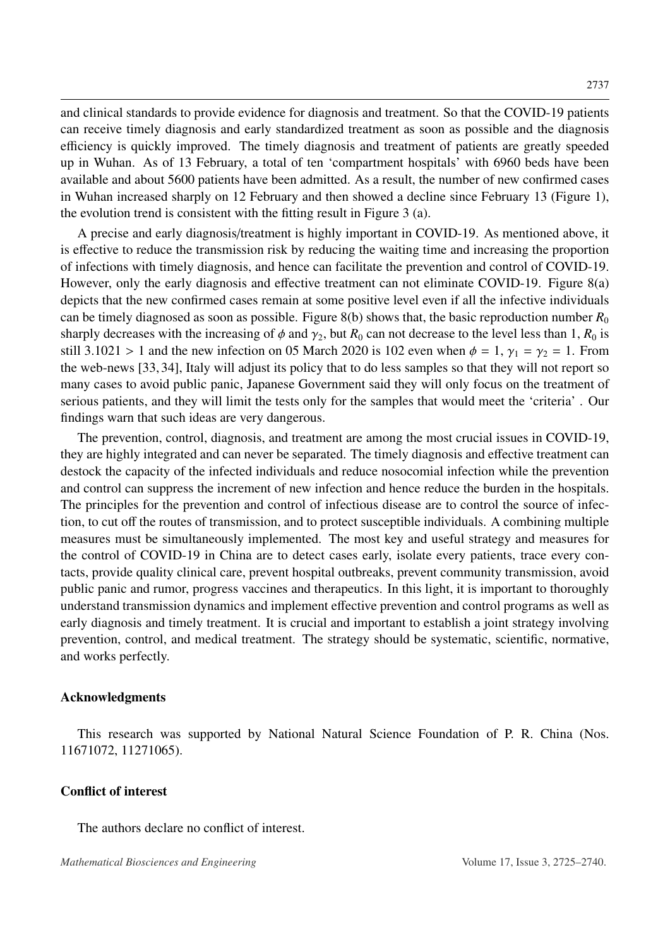and clinical standards to provide evidence for diagnosis and treatment. So that the COVID-19 patients can receive timely diagnosis and early standardized treatment as soon as possible and the diagnosis efficiency is quickly improved. The timely diagnosis and treatment of patients are greatly speeded up in Wuhan. As of 13 February, a total of ten 'compartment hospitals' with 6960 beds have been available and about 5600 patients have been admitted. As a result, the number of new confirmed cases in Wuhan increased sharply on 12 February and then showed a decline since February 13 (Figure [1\)](#page-1-0), the evolution trend is consistent with the fitting result in Figure [3](#page-7-0) (a).

A precise and early diagnosis/treatment is highly important in COVID-19. As mentioned above, it is effective to reduce the transmission risk by reducing the waiting time and increasing the proportion of infections with timely diagnosis, and hence can facilitate the prevention and control of COVID-19. However, only the early diagnosis and effective treatment can not eliminate COVID-19. Figure [8\(](#page-11-0)a) depicts that the new confirmed cases remain at some positive level even if all the infective individuals can be timely diagnosed as soon as possible. Figure [8\(](#page-11-0)b) shows that, the basic reproduction number  $R_0$ sharply decreases with the increasing of  $\phi$  and  $\gamma_2$ , but  $R_0$  can not decrease to the level less than 1,  $R_0$  is still 3.1021 > 1 and the new infection on 05 March 2020 is 102 even when  $\phi = 1$ ,  $\gamma_1 = \gamma_2 = 1$ . From the web-news [\[33,](#page-15-3) [34\]](#page-15-4), Italy will adjust its policy that to do less samples so that they will not report so many cases to avoid public panic, Japanese Government said they will only focus on the treatment of serious patients, and they will limit the tests only for the samples that would meet the 'criteria' . Our findings warn that such ideas are very dangerous.

The prevention, control, diagnosis, and treatment are among the most crucial issues in COVID-19, they are highly integrated and can never be separated. The timely diagnosis and effective treatment can destock the capacity of the infected individuals and reduce nosocomial infection while the prevention and control can suppress the increment of new infection and hence reduce the burden in the hospitals. The principles for the prevention and control of infectious disease are to control the source of infection, to cut off the routes of transmission, and to protect susceptible individuals. A combining multiple measures must be simultaneously implemented. The most key and useful strategy and measures for the control of COVID-19 in China are to detect cases early, isolate every patients, trace every contacts, provide quality clinical care, prevent hospital outbreaks, prevent community transmission, avoid public panic and rumor, progress vaccines and therapeutics. In this light, it is important to thoroughly understand transmission dynamics and implement effective prevention and control programs as well as early diagnosis and timely treatment. It is crucial and important to establish a joint strategy involving prevention, control, and medical treatment. The strategy should be systematic, scientific, normative, and works perfectly.

#### Acknowledgments

This research was supported by National Natural Science Foundation of P. R. China (Nos. 11671072, 11271065).

#### Conflict of interest

The authors declare no conflict of interest.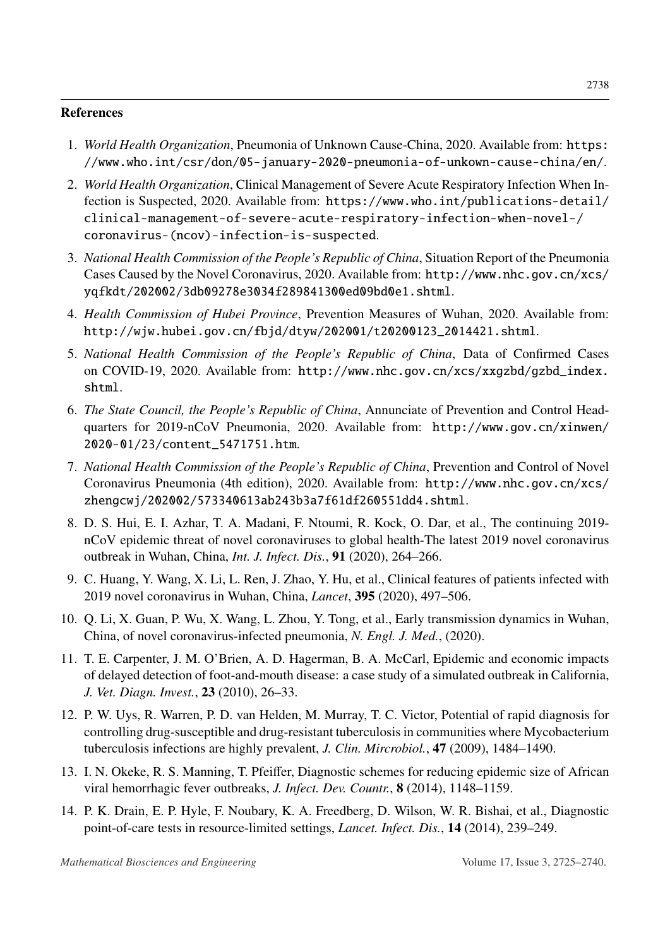## References

- <span id="page-13-0"></span>1. *World Health Organization*, Pneumonia of Unknown Cause-China, 2020. Available from: [https:](https://www.who.int/csr/don/05-january-2020-pneumonia-of-unkown-cause-china/en/) [//www.who.int/csr/don/05-january-2020-pneumonia-of-unkown-cause-china/en/](https://www.who.int/csr/don/05-january-2020-pneumonia-of-unkown-cause-china/en/).
- <span id="page-13-1"></span>2. *World Health Organization*, Clinical Management of Severe Acute Respiratory Infection When Infection is Suspected, 2020. Available from: [https://www.who.int/publications-detail/](https://www.who.int/publications-detail/clinical-management-of-severe-acute-respiratory-infection-when-novel-/coronavirus-(ncov)-infection-is-suspected) [clinical-management-of-severe-acute-respiratory-infection-when-novel-/](https://www.who.int/publications-detail/clinical-management-of-severe-acute-respiratory-infection-when-novel-/coronavirus-(ncov)-infection-is-suspected) [coronavirus-\(ncov\)-infection-is-suspected](https://www.who.int/publications-detail/clinical-management-of-severe-acute-respiratory-infection-when-novel-/coronavirus-(ncov)-infection-is-suspected).
- <span id="page-13-2"></span>3. *National Health Commission of the People's Republic of China*, Situation Report of the Pneumonia Cases Caused by the Novel Coronavirus, 2020. Available from: [http://www.nhc.gov.cn/xcs/](http://www.nhc.gov.cn/xcs/yqfkdt/202002/3db09278e3034f289841300ed09bd0e1.shtml) [yqfkdt/202002/3db09278e3034f289841300ed09bd0e1.shtml](http://www.nhc.gov.cn/xcs/yqfkdt/202002/3db09278e3034f289841300ed09bd0e1.shtml).
- <span id="page-13-3"></span>4. *Health Commission of Hubei Province*, Prevention Measures of Wuhan, 2020. Available from: [http://wjw.hubei.gov.cn/fbjd/dtyw/202001/t20200123\\_2014421.shtml](http://wjw.hubei.gov.cn/fbjd/dtyw/202001/t20200123_2014421.shtml).
- <span id="page-13-4"></span>5. *National Health Commission of the People's Republic of China*, Data of Confirmed Cases on COVID-19, 2020. Available from: [http://www.nhc.gov.cn/xcs/xxgzbd/gzbd\\_index.](http://www.nhc.gov.cn/xcs/xxgzbd/gzbd_index.shtml) [shtml](http://www.nhc.gov.cn/xcs/xxgzbd/gzbd_index.shtml).
- <span id="page-13-5"></span>6. *The State Council, the People's Republic of China*, Annunciate of Prevention and Control Headquarters for 2019-nCoV Pneumonia, 2020. Available from: [http://www.gov.cn/xinwen/](http://www.gov.cn/xinwen/2020-01/23/content_5471751.htm) [2020-01/23/content\\_5471751.htm](http://www.gov.cn/xinwen/2020-01/23/content_5471751.htm).
- <span id="page-13-6"></span>7. *National Health Commission of the People's Republic of China*, Prevention and Control of Novel Coronavirus Pneumonia (4th edition), 2020. Available from: [http://www.nhc.gov.cn/xcs/](http://www.nhc.gov.cn/xcs/zhengcwj/202002/573340613ab243b3a7f61df260551dd4.shtml) [zhengcwj/202002/573340613ab243b3a7f61df260551dd4.shtml](http://www.nhc.gov.cn/xcs/zhengcwj/202002/573340613ab243b3a7f61df260551dd4.shtml).
- <span id="page-13-7"></span>8. D. S. Hui, E. I. Azhar, T. A. Madani, F. Ntoumi, R. Kock, O. Dar, et al., The continuing 2019 nCoV epidemic threat of novel coronaviruses to global health-The latest 2019 novel coronavirus outbreak in Wuhan, China, *Int. J. Infect. Dis.*, 91 (2020), 264–266.
- <span id="page-13-8"></span>9. C. Huang, Y. Wang, X. Li, L. Ren, J. Zhao, Y. Hu, et al., Clinical features of patients infected with 2019 novel coronavirus in Wuhan, China, *Lancet*, 395 (2020), 497–506.
- <span id="page-13-9"></span>10. Q. Li, X. Guan, P. Wu, X. Wang, L. Zhou, Y. Tong, et al., Early transmission dynamics in Wuhan, China, of novel coronavirus-infected pneumonia, *N. Engl. J. Med.*, (2020).
- <span id="page-13-10"></span>11. T. E. Carpenter, J. M. O'Brien, A. D. Hagerman, B. A. McCarl, Epidemic and economic impacts of delayed detection of foot-and-mouth disease: a case study of a simulated outbreak in California, *J. Vet. Diagn. Invest.*, 23 (2010), 26–33.
- 12. P. W. Uys, R. Warren, P. D. van Helden, M. Murray, T. C. Victor, Potential of rapid diagnosis for controlling drug-susceptible and drug-resistant tuberculosis in communities where Mycobacterium tuberculosis infections are highly prevalent, *J. Clin. Mircrobiol.*, 47 (2009), 1484–1490.
- <span id="page-13-11"></span>13. I. N. Okeke, R. S. Manning, T. Pfeiffer, Diagnostic schemes for reducing epidemic size of African viral hemorrhagic fever outbreaks, *J. Infect. Dev. Countr.*, 8 (2014), 1148–1159.
- <span id="page-13-12"></span>14. P. K. Drain, E. P. Hyle, F. Noubary, K. A. Freedberg, D. Wilson, W. R. Bishai, et al., Diagnostic point-of-care tests in resource-limited settings, *Lancet. Infect. Dis.*, 14 (2014), 239–249.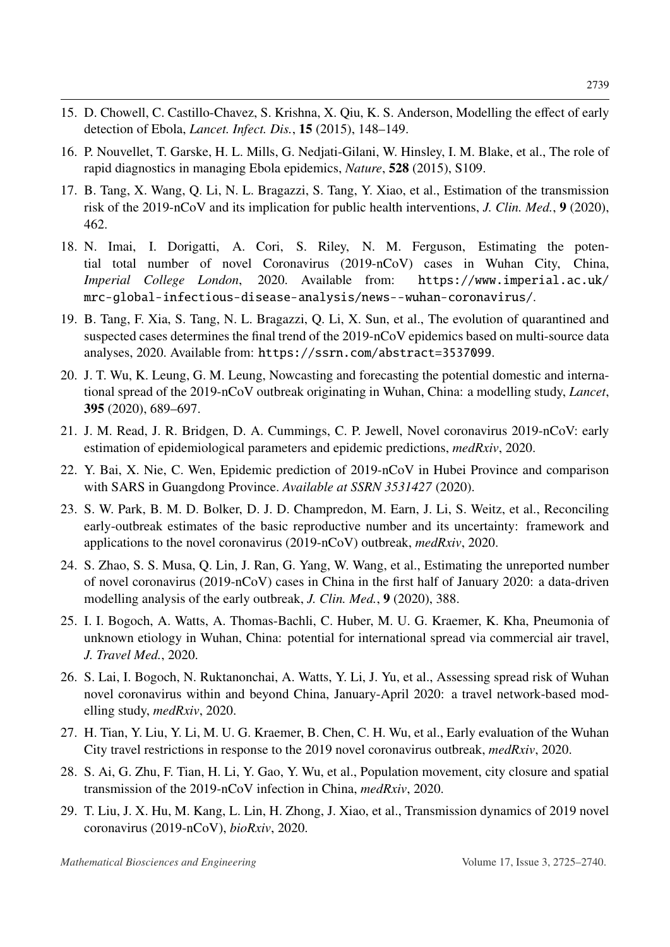- 15. D. Chowell, C. Castillo-Chavez, S. Krishna, X. Qiu, K. S. Anderson, Modelling the effect of early detection of Ebola, *Lancet. Infect. Dis.*, 15 (2015), 148–149.
- <span id="page-14-0"></span>16. P. Nouvellet, T. Garske, H. L. Mills, G. Nedjati-Gilani, W. Hinsley, I. M. Blake, et al., The role of rapid diagnostics in managing Ebola epidemics, *Nature*, 528 (2015), S109.
- <span id="page-14-1"></span>17. B. Tang, X. Wang, Q. Li, N. L. Bragazzi, S. Tang, Y. Xiao, et al., Estimation of the transmission risk of the 2019-nCoV and its implication for public health interventions, *J. Clin. Med.*, 9 (2020), 462.
- <span id="page-14-4"></span>18. N. Imai, I. Dorigatti, A. Cori, S. Riley, N. M. Ferguson, Estimating the potential total number of novel Coronavirus (2019-nCoV) cases in Wuhan City, China, *Imperial College London*, 2020. Available from: [https://www.imperial.ac.uk/](https://www.imperial.ac.uk/mrc-global-infectious-disease-analysis/news--wuhan-coronavirus/) [mrc-global-infectious-disease-analysis/news--wuhan-coronavirus/](https://www.imperial.ac.uk/mrc-global-infectious-disease-analysis/news--wuhan-coronavirus/).
- <span id="page-14-2"></span>19. B. Tang, F. Xia, S. Tang, N. L. Bragazzi, Q. Li, X. Sun, et al., The evolution of quarantined and suspected cases determines the final trend of the 2019-nCoV epidemics based on multi-source data analyses, 2020. Available from: <https://ssrn.com/abstract=3537099>.
- 20. J. T. Wu, K. Leung, G. M. Leung, Nowcasting and forecasting the potential domestic and international spread of the 2019-nCoV outbreak originating in Wuhan, China: a modelling study, *Lancet*, 395 (2020), 689–697.
- <span id="page-14-3"></span>21. J. M. Read, J. R. Bridgen, D. A. Cummings, C. P. Jewell, Novel coronavirus 2019-nCoV: early estimation of epidemiological parameters and epidemic predictions, *medRxiv*, 2020.
- <span id="page-14-5"></span>22. Y. Bai, X. Nie, C. Wen, Epidemic prediction of 2019-nCoV in Hubei Province and comparison with SARS in Guangdong Province. *Available at SSRN 3531427* (2020).
- <span id="page-14-6"></span>23. S. W. Park, B. M. D. Bolker, D. J. D. Champredon, M. Earn, J. Li, S. Weitz, et al., Reconciling early-outbreak estimates of the basic reproductive number and its uncertainty: framework and applications to the novel coronavirus (2019-nCoV) outbreak, *medRxiv*, 2020.
- <span id="page-14-7"></span>24. S. Zhao, S. S. Musa, Q. Lin, J. Ran, G. Yang, W. Wang, et al., Estimating the unreported number of novel coronavirus (2019-nCoV) cases in China in the first half of January 2020: a data-driven modelling analysis of the early outbreak, *J. Clin. Med.*, 9 (2020), 388.
- <span id="page-14-8"></span>25. I. I. Bogoch, A. Watts, A. Thomas-Bachli, C. Huber, M. U. G. Kraemer, K. Kha, Pneumonia of unknown etiology in Wuhan, China: potential for international spread via commercial air travel, *J. Travel Med.*, 2020.
- <span id="page-14-9"></span>26. S. Lai, I. Bogoch, N. Ruktanonchai, A. Watts, Y. Li, J. Yu, et al., Assessing spread risk of Wuhan novel coronavirus within and beyond China, January-April 2020: a travel network-based modelling study, *medRxiv*, 2020.
- <span id="page-14-10"></span>27. H. Tian, Y. Liu, Y. Li, M. U. G. Kraemer, B. Chen, C. H. Wu, et al., Early evaluation of the Wuhan City travel restrictions in response to the 2019 novel coronavirus outbreak, *medRxiv*, 2020.
- <span id="page-14-11"></span>28. S. Ai, G. Zhu, F. Tian, H. Li, Y. Gao, Y. Wu, et al., Population movement, city closure and spatial transmission of the 2019-nCoV infection in China, *medRxiv*, 2020.
- <span id="page-14-12"></span>29. T. Liu, J. X. Hu, M. Kang, L. Lin, H. Zhong, J. Xiao, et al., Transmission dynamics of 2019 novel coronavirus (2019-nCoV), *bioRxiv*, 2020.